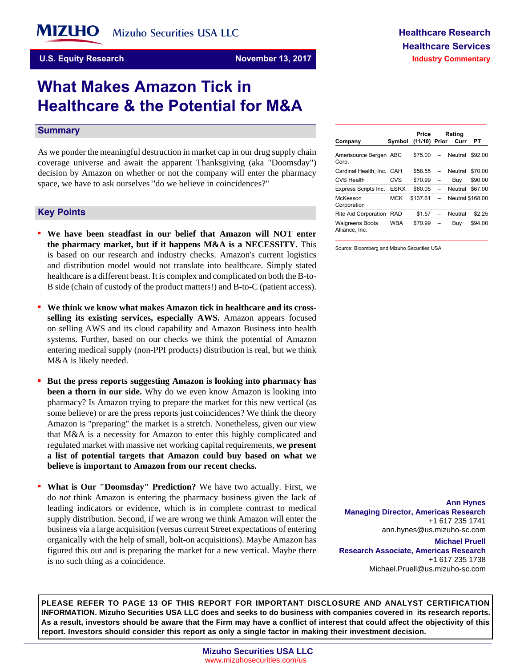**U.S. Equity Research <b>November 13, 2017** 

# **What Makes Amazon Tick in Healthcare & the Potential for M&A**

#### **Summary**

As we ponder the meaningful destruction in market cap in our drug supply chain coverage universe and await the apparent Thanksgiving (aka "Doomsday") decision by Amazon on whether or not the company will enter the pharmacy space, we have to ask ourselves "do we believe in coincidences?"

#### **Key-Points**

- **We have been steadfast in our belief that Amazon will NOT enter the pharmacy market, but if it happens M&A is a NECESSITY.** This is based on our research and industry checks. Amazon's current logistics and distribution model would not translate into healthcare. Simply stated healthcare is a different beast. It is complex and complicated on both the B-to-B side (chain of custody of the product matters!) and B-to-C (patient access).
- We think we know what makes Amazon tick in healthcare and its cross**selling its existing services, especially AWS.** Amazon appears focused on selling AWS and its cloud capability and Amazon Business into health systems. Further, based on our checks we think the potential of Amazon entering medical supply (non-PPI products) distribution is real, but we think M&A is likely needed.
- But the press reports suggesting Amazon is looking into pharmacy has **been a thorn in our side.** Why do we even know Amazon is looking into pharmacy? Is Amazon trying to prepare the market for this new vertical (as some believe) or are the press reports just coincidences? We think the theory Amazon is "preparing" the market is a stretch. Nonetheless, given our view that M&A is a necessity for Amazon to enter this highly complicated and regulated market with massive net working capital requirements, **we present a list of potential targets that Amazon could buy based on what we believe is important to Amazon from our recent checks.**
- **What is Our "Doomsday" Prediction?** We have two actually. First, we do *not* think Amazon is entering the pharmacy business given the lack of leading indicators or evidence, which is in complete contrast to medical supply distribution. Second, if we are wrong we think Amazon will enter the business via a large acquisition (versus current Street expectations of entering organically with the help of small, bolt-on acquisitions). Maybe Amazon has figured this out and is preparing the market for a new vertical. Maybe there is no such thing as a coincidence.

| Amerisource Bergen ABC<br>Corp.          |             | \$75.00  | $\overline{\phantom{0}}$ | Neutral                 | \$92.00 |
|------------------------------------------|-------------|----------|--------------------------|-------------------------|---------|
| Cardinal Health, Inc. CAH                |             | \$58.55  | $\overline{\phantom{0}}$ | Neutral                 | \$70.00 |
| <b>CVS Health</b>                        | CVS         | \$70.99  |                          | Buv                     | \$90.00 |
| Express Scripts Inc.                     | <b>ESRX</b> | \$60.05  | $\overline{\phantom{0}}$ | Neutral                 | \$67.00 |
| McKesson<br>Corporation                  | <b>MCK</b>  | \$137.61 |                          | <b>Neutral \$168.00</b> |         |
| Rite Aid Corporation                     | <b>RAD</b>  | \$1.57   |                          | Neutral                 | \$2.25  |
| <b>Walgreens Boots</b><br>Alliance, Inc. | <b>WBA</b>  | \$70.99  |                          | Buy                     | \$94.00 |

**Company Symbol (11/10) Prior Curr PT**

Source: Bloomberg and Mizuho Securities USA

**Ann Hynes Managing Director, Americas Research** +1 617 235 1741 ann.hynes@us.mizuho-sc.com

**Michael Pruell Research Associate, Americas Research** +1 617 235 1738 Michael.Pruell@us.mizuho-sc.com

**PLEASE REFER TO PAGE 13 OF THIS REPORT FOR IMPORTANT DISCLOSURE AND ANALYST CERTIFICATION INFORMATION. Mizuho Securities USA LLC does and seeks to do business with companies covered in its research reports. As a result, investors should be aware that the Firm may have a conflict of interest that could affect the objectivity of this report. Investors should consider this report as only a single factor in making their investment decision.**

**Price Rating**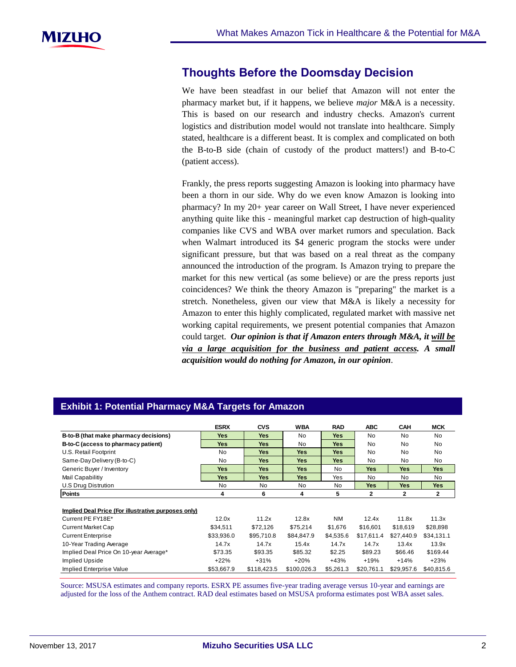## **Thoughts Before the Doomsday Decision**

We have been steadfast in our belief that Amazon will not enter the pharmacy market but, if it happens, we believe *major* M&A is a necessity. This is based on our research and industry checks. Amazon's current logistics and distribution model would not translate into healthcare. Simply stated, healthcare is a different beast. It is complex and complicated on both the B-to-B side (chain of custody of the product matters!) and B-to-C (patient access).

Frankly, the press reports suggesting Amazon is looking into pharmacy have been a thorn in our side. Why do we even know Amazon is looking into pharmacy? In my 20+ year career on Wall Street, I have never experienced anything quite like this - meaningful market cap destruction of high-quality companies like CVS and WBA over market rumors and speculation. Back when Walmart introduced its \$4 generic program the stocks were under significant pressure, but that was based on a real threat as the company announced the introduction of the program. Is Amazon trying to prepare the market for this new vertical (as some believe) or are the press reports just coincidences? We think the theory Amazon is "preparing" the market is a stretch. Nonetheless, given our view that M&A is likely a necessity for Amazon to enter this highly complicated, regulated market with massive net working capital requirements, we present potential companies that Amazon could target. *Our opinion is that if Amazon enters through M&A, it will be via a large acquisition for the business and patient access. A small acquisition would do nothing for Amazon, in our opinion*.

| <b>Exhibit 1: Potential Pharmacy M&amp;A Targets for Amazon</b> |             |             |             |            |              |              |              |
|-----------------------------------------------------------------|-------------|-------------|-------------|------------|--------------|--------------|--------------|
|                                                                 | <b>ESRX</b> | <b>CVS</b>  | <b>WBA</b>  | <b>RAD</b> | <b>ABC</b>   | <b>CAH</b>   | MCK          |
| B-to-B (that make pharmacy decisions)                           | <b>Yes</b>  | <b>Yes</b>  | No.         | <b>Yes</b> | No.          | No           | No           |
| B-to-C (access to pharmacy patient)                             | <b>Yes</b>  | <b>Yes</b>  | No          | <b>Yes</b> | <b>No</b>    | No           | No           |
| U.S. Retail Footprint                                           | No          | <b>Yes</b>  | <b>Yes</b>  | <b>Yes</b> | <b>No</b>    | No           | No           |
| Same-Day Delivery (B-to-C)                                      | <b>No</b>   | <b>Yes</b>  | <b>Yes</b>  | <b>Yes</b> | No           | No           | No           |
| Generic Buyer / Inventory                                       | <b>Yes</b>  | <b>Yes</b>  | <b>Yes</b>  | No         | Yes          | Yes          | <b>Yes</b>   |
| Mail Capabilitiy                                                | <b>Yes</b>  | <b>Yes</b>  | <b>Yes</b>  | Yes        | No.          | No.          | No.          |
| U.S Drug Distrution                                             | No          | No.         | No.         | No         | Yes          | <b>Yes</b>   | <b>Yes</b>   |
| <b>Points</b>                                                   | 4           | 6           | 4           | 5          | $\mathbf{2}$ | $\mathbf{2}$ | $\mathbf{2}$ |
| Implied Deal Price (For illustrative purposes only)             |             |             |             |            |              |              |              |
| Current PE FY18E*                                               | 12.0x       | 11.2x       | 12.8x       | <b>NM</b>  | 12.4x        | 11.8x        | 11.3x        |
| <b>Current Market Cap</b>                                       | \$34,511    | \$72,126    | \$75,214    | \$1,676    | \$16,601     | \$18,619     | \$28,898     |
| <b>Current Enterprise</b>                                       | \$33,936.0  | \$95,710.8  | \$84,847.9  | \$4,535.6  | \$17,611.4   | \$27,440.9   | \$34,131.1   |
| 10-Year Trading Average                                         | 14.7x       | 14.7x       | 15.4x       | 14.7x      | 14.7x        | 13.4x        | 13.9x        |
| Implied Deal Price On 10-year Average*                          | \$73.35     | \$93.35     | \$85.32     | \$2.25     | \$89.23      | \$66.46      | \$169.44     |
| Implied Upside                                                  | $+22%$      | $+31%$      | $+20%$      | $+43%$     | $+19%$       | +14%         | $+23%$       |
| Implied Enterprise Value                                        | \$53,667.9  | \$118,423.5 | \$100,026.3 | \$5,261.3  | \$20,761.1   | \$29,957.6   | \$40,815.6   |

Source: MSUSA estimates and company reports. ESRX PE assumes five-year trading average versus 10-year and earnings are adjusted for the loss of the Anthem contract. RAD deal estimates based on MSUSA proforma estimates post WBA asset sales.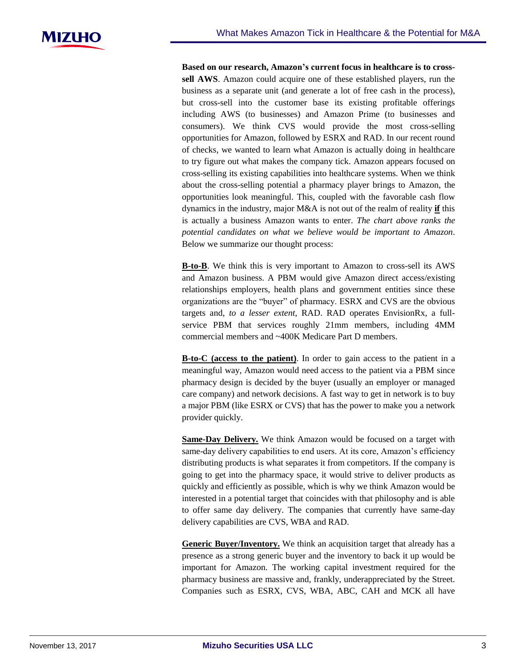**Based on our research, Amazon's current focus in healthcare is to crosssell AWS**. Amazon could acquire one of these established players, run the business as a separate unit (and generate a lot of free cash in the process), but cross-sell into the customer base its existing profitable offerings including AWS (to businesses) and Amazon Prime (to businesses and consumers). We think CVS would provide the most cross-selling opportunities for Amazon, followed by ESRX and RAD. In our recent round of checks, we wanted to learn what Amazon is actually doing in healthcare to try figure out what makes the company tick. Amazon appears focused on cross-selling its existing capabilities into healthcare systems. When we think about the cross-selling potential a pharmacy player brings to Amazon, the opportunities look meaningful. This, coupled with the favorable cash flow dynamics in the industry, major M&A is not out of the realm of reality **if** this is actually a business Amazon wants to enter. *The chart above ranks the potential candidates on what we believe would be important to Amazon*. Below we summarize our thought process:

**B-to-B**. We think this is very important to Amazon to cross-sell its AWS and Amazon business. A PBM would give Amazon direct access/existing relationships employers, health plans and government entities since these organizations are the "buyer" of pharmacy. ESRX and CVS are the obvious targets and, *to a lesser extent*, RAD. RAD operates EnvisionRx, a fullservice PBM that services roughly 21mm members, including 4MM commercial members and ~400K Medicare Part D members.

**B-to-C (access to the patient)**. In order to gain access to the patient in a meaningful way, Amazon would need access to the patient via a PBM since pharmacy design is decided by the buyer (usually an employer or managed care company) and network decisions. A fast way to get in network is to buy a major PBM (like ESRX or CVS) that has the power to make you a network provider quickly.

**Same-Day Delivery.** We think Amazon would be focused on a target with same-day delivery capabilities to end users. At its core, Amazon's efficiency distributing products is what separates it from competitors. If the company is going to get into the pharmacy space, it would strive to deliver products as quickly and efficiently as possible, which is why we think Amazon would be interested in a potential target that coincides with that philosophy and is able to offer same day delivery. The companies that currently have same-day delivery capabilities are CVS, WBA and RAD.

**Generic Buyer/Inventory.** We think an acquisition target that already has a presence as a strong generic buyer and the inventory to back it up would be important for Amazon. The working capital investment required for the pharmacy business are massive and, frankly, underappreciated by the Street. Companies such as ESRX, CVS, WBA, ABC, CAH and MCK all have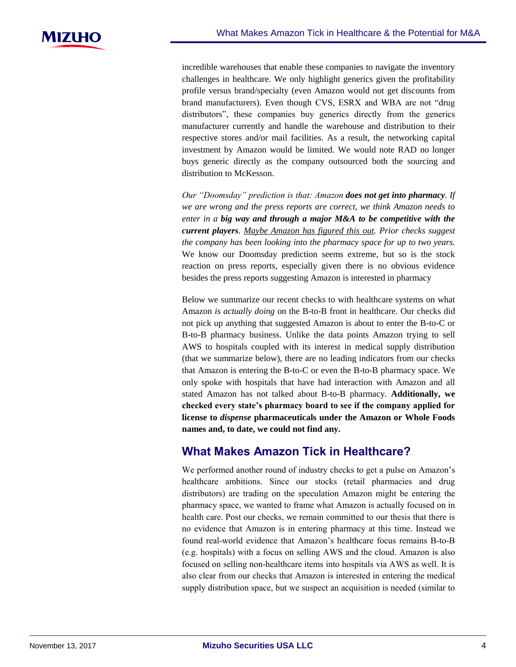incredible warehouses that enable these companies to navigate the inventory challenges in healthcare. We only highlight generics given the profitability profile versus brand/specialty (even Amazon would not get discounts from brand manufacturers). Even though CVS, ESRX and WBA are not "drug distributors", these companies buy generics directly from the generics manufacturer currently and handle the warehouse and distribution to their respective stores and/or mail facilities. As a result, the networking capital investment by Amazon would be limited. We would note RAD no longer buys generic directly as the company outsourced both the sourcing and distribution to McKesson.

*Our "Doomsday" prediction is that: Amazon does not get into pharmacy. If we are wrong and the press reports are correct, we think Amazon needs to enter in a big way and through a major M&A to be competitive with the current players. Maybe Amazon has figured this out. Prior checks suggest the company has been looking into the pharmacy space for up to two years.*  We know our Doomsday prediction seems extreme, but so is the stock reaction on press reports, especially given there is no obvious evidence besides the press reports suggesting Amazon is interested in pharmacy

Below we summarize our recent checks to with healthcare systems on what Amazon *is actually doing* on the B-to-B front in healthcare. Our checks did not pick up anything that suggested Amazon is about to enter the B-to-C or B-to-B pharmacy business. Unlike the data points Amazon trying to sell AWS to hospitals coupled with its interest in medical supply distribution (that we summarize below), there are no leading indicators from our checks that Amazon is entering the B-to-C or even the B-to-B pharmacy space. We only spoke with hospitals that have had interaction with Amazon and all stated Amazon has not talked about B-to-B pharmacy. **Additionally, we checked every state's pharmacy board to see if the company applied for license to** *dispense* **pharmaceuticals under the Amazon or Whole Foods names and, to date, we could not find any.**

## **What Makes Amazon Tick in Healthcare?**

We performed another round of industry checks to get a pulse on Amazon's healthcare ambitions. Since our stocks (retail pharmacies and drug distributors) are trading on the speculation Amazon might be entering the pharmacy space, we wanted to frame what Amazon is actually focused on in health care. Post our checks, we remain committed to our thesis that there is no evidence that Amazon is in entering pharmacy at this time. Instead we found real-world evidence that Amazon's healthcare focus remains B-to-B (e.g. hospitals) with a focus on selling AWS and the cloud. Amazon is also focused on selling non-healthcare items into hospitals via AWS as well. It is also clear from our checks that Amazon is interested in entering the medical supply distribution space, but we suspect an acquisition is needed (similar to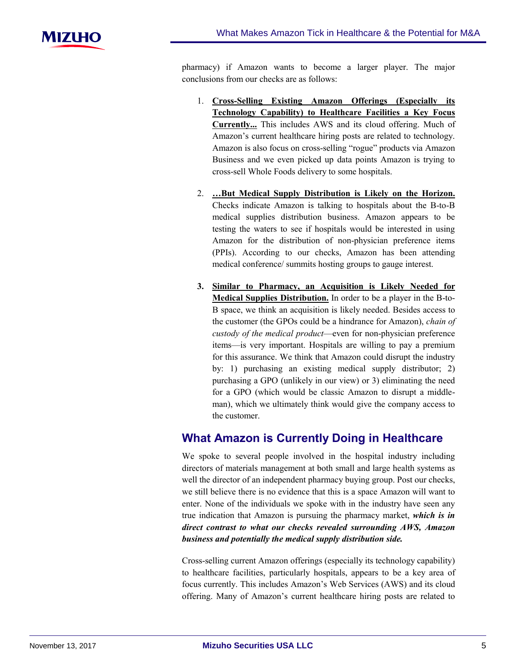pharmacy) if Amazon wants to become a larger player. The major conclusions from our checks are as follows:

- 1. **Cross-Selling Existing Amazon Offerings (Especially its Technology Capability) to Healthcare Facilities a Key Focus Currently...** This includes AWS and its cloud offering. Much of Amazon's current healthcare hiring posts are related to technology. Amazon is also focus on cross-selling "rogue" products via Amazon Business and we even picked up data points Amazon is trying to cross-sell Whole Foods delivery to some hospitals.
- 2. **…But Medical Supply Distribution is Likely on the Horizon.**  Checks indicate Amazon is talking to hospitals about the B-to-B medical supplies distribution business. Amazon appears to be testing the waters to see if hospitals would be interested in using Amazon for the distribution of non-physician preference items (PPIs). According to our checks, Amazon has been attending medical conference/ summits hosting groups to gauge interest.
- **3. Similar to Pharmacy, an Acquisition is Likely Needed for Medical Supplies Distribution.** In order to be a player in the B-to-B space, we think an acquisition is likely needed. Besides access to the customer (the GPOs could be a hindrance for Amazon), *chain of custody of the medical product*—even for non-physician preference items—is very important. Hospitals are willing to pay a premium for this assurance. We think that Amazon could disrupt the industry by: 1) purchasing an existing medical supply distributor; 2) purchasing a GPO (unlikely in our view) or 3) eliminating the need for a GPO (which would be classic Amazon to disrupt a middleman), which we ultimately think would give the company access to the customer.

## **What Amazon is Currently Doing in Healthcare**

We spoke to several people involved in the hospital industry including directors of materials management at both small and large health systems as well the director of an independent pharmacy buying group. Post our checks, we still believe there is no evidence that this is a space Amazon will want to enter. None of the individuals we spoke with in the industry have seen any true indication that Amazon is pursuing the pharmacy market, *which is in direct contrast to what our checks revealed surrounding AWS, Amazon business and potentially the medical supply distribution side.*

Cross-selling current Amazon offerings (especially its technology capability) to healthcare facilities, particularly hospitals, appears to be a key area of focus currently. This includes Amazon's Web Services (AWS) and its cloud offering. Many of Amazon's current healthcare hiring posts are related to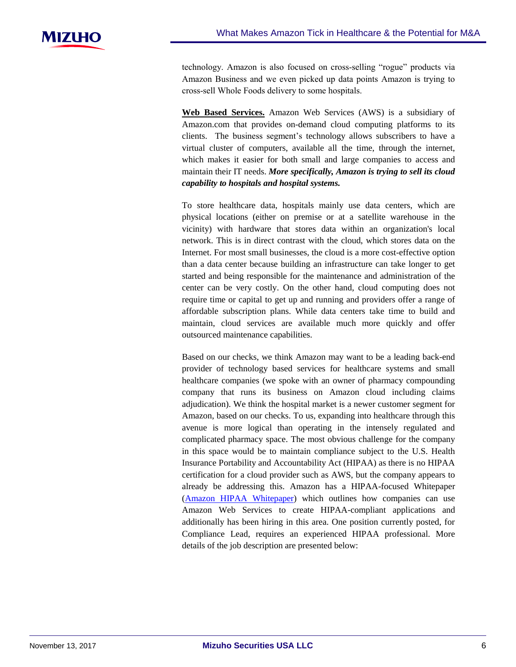technology. Amazon is also focused on cross-selling "rogue" products via Amazon Business and we even picked up data points Amazon is trying to cross-sell Whole Foods delivery to some hospitals.

**Web Based Services.** Amazon Web Services (AWS) is a subsidiary of Amazon.com that provides on-demand cloud computing platforms to its clients. The business segment's technology allows subscribers to have a virtual cluster of computers, available all the time, through the internet, which makes it easier for both small and large companies to access and maintain their IT needs. *More specifically, Amazon is trying to sell its cloud capability to hospitals and hospital systems.*

To store healthcare data, hospitals mainly use data centers, which are physical locations (either on premise or at a satellite warehouse in the vicinity) with hardware that stores data within an organization's local network. This is in direct contrast with the cloud, which stores data on the Internet. For most small businesses, the cloud is a more cost-effective option than a data center because building an infrastructure can take longer to get started and being responsible for the maintenance and administration of the center can be very costly. On the other hand, cloud computing does not require time or capital to get up and running and providers offer a range of affordable subscription plans. While data centers take time to build and maintain, cloud services are available much more quickly and offer outsourced maintenance capabilities.

Based on our checks, we think Amazon may want to be a leading back-end provider of technology based services for healthcare systems and small healthcare companies (we spoke with an owner of pharmacy compounding company that runs its business on Amazon cloud including claims adjudication). We think the hospital market is a newer customer segment for Amazon, based on our checks. To us, expanding into healthcare through this avenue is more logical than operating in the intensely regulated and complicated pharmacy space. The most obvious challenge for the company in this space would be to maintain compliance subject to the U.S. Health Insurance Portability and Accountability Act (HIPAA) as there is no HIPAA certification for a cloud provider such as AWS, but the company appears to already be addressing this. Amazon has a HIPAA-focused Whitepaper [\(Amazon HIPAA Whitepaper\)](https://d1.awsstatic.com/whitepapers/compliance/AWS_HIPAA_Compliance_Whitepaper.pdf) which outlines how companies can use Amazon Web Services to create HIPAA-compliant applications and additionally has been hiring in this area. One position currently posted, for Compliance Lead, requires an experienced HIPAA professional. More details of the job description are presented below: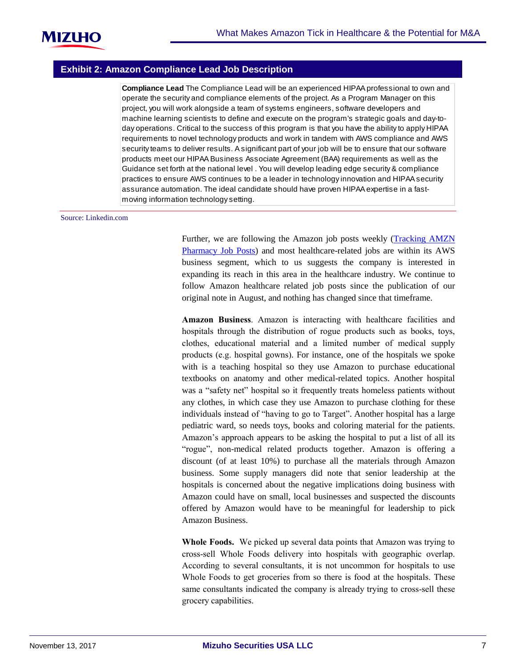

### **Exhibit 2: Amazon Compliance Lead Job Description**

**Compliance Lead** The Compliance Lead will be an experienced HIPAA professional to own and operate the security and compliance elements of the project. As a Program Manager on this project, you will work alongside a team of systems engineers, software developers and machine learning scientists to define and execute on the program's strategic goals and day-today operations. Critical to the success of this program is that you have the ability to apply HIPAA requirements to novel technology products and work in tandem with AWS compliance and AWS security teams to deliver results. A significant part of your job will be to ensure that our software products meet our HIPAA Business Associate Agreement (BAA) requirements as well as the Guidance set forth at the national level . You will develop leading edge security & compliance practices to ensure AWS continues to be a leader in technology innovation and HIPAA security assurance automation. The ideal candidate should have proven HIPAA expertise in a fastmoving information technology setting.

#### Source: Linkedin.com

Further, we are following the Amazon job posts weekly [\(Tracking AMZN](https://msusa.bluematrix.com/docs/pdf/c2eb2be0-2d20-4b75-a415-05691672ae3e.pdf)  [Pharmacy Job Posts\)](https://msusa.bluematrix.com/docs/pdf/c2eb2be0-2d20-4b75-a415-05691672ae3e.pdf) and most healthcare-related jobs are within its AWS business segment, which to us suggests the company is interested in expanding its reach in this area in the healthcare industry. We continue to follow Amazon healthcare related job posts since the publication of our original note in August, and nothing has changed since that timeframe.

**Amazon Business**. Amazon is interacting with healthcare facilities and hospitals through the distribution of rogue products such as books, toys, clothes, educational material and a limited number of medical supply products (e.g. hospital gowns). For instance, one of the hospitals we spoke with is a teaching hospital so they use Amazon to purchase educational textbooks on anatomy and other medical-related topics. Another hospital was a "safety net" hospital so it frequently treats homeless patients without any clothes, in which case they use Amazon to purchase clothing for these individuals instead of "having to go to Target". Another hospital has a large pediatric ward, so needs toys, books and coloring material for the patients. Amazon's approach appears to be asking the hospital to put a list of all its "rogue", non-medical related products together. Amazon is offering a discount (of at least 10%) to purchase all the materials through Amazon business. Some supply managers did note that senior leadership at the hospitals is concerned about the negative implications doing business with Amazon could have on small, local businesses and suspected the discounts offered by Amazon would have to be meaningful for leadership to pick Amazon Business.

**Whole Foods.** We picked up several data points that Amazon was trying to cross-sell Whole Foods delivery into hospitals with geographic overlap. According to several consultants, it is not uncommon for hospitals to use Whole Foods to get groceries from so there is food at the hospitals. These same consultants indicated the company is already trying to cross-sell these grocery capabilities.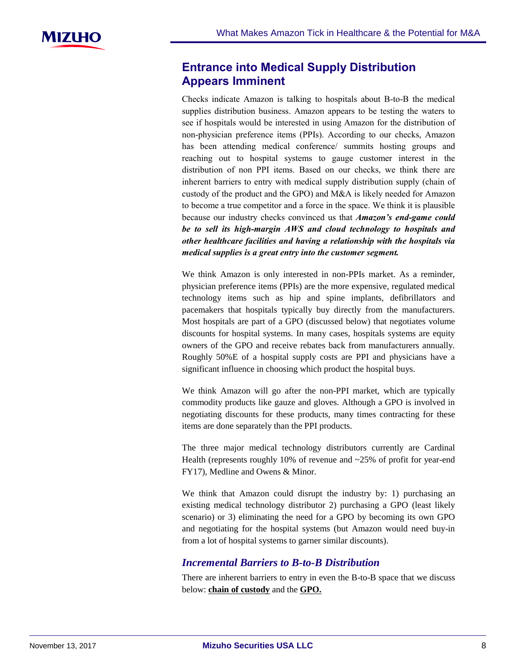## **Entrance into Medical Supply Distribution Appears Imminent**

Checks indicate Amazon is talking to hospitals about B-to-B the medical supplies distribution business. Amazon appears to be testing the waters to see if hospitals would be interested in using Amazon for the distribution of non-physician preference items (PPIs). According to our checks, Amazon has been attending medical conference/ summits hosting groups and reaching out to hospital systems to gauge customer interest in the distribution of non PPI items. Based on our checks, we think there are inherent barriers to entry with medical supply distribution supply (chain of custody of the product and the GPO) and M&A is likely needed for Amazon to become a true competitor and a force in the space. We think it is plausible because our industry checks convinced us that *Amazon's end-game could be to sell its high-margin AWS and cloud technology to hospitals and other healthcare facilities and having a relationship with the hospitals via medical supplies is a great entry into the customer segment.* 

We think Amazon is only interested in non-PPIs market. As a reminder, physician preference items (PPIs) are the more expensive, regulated medical technology items such as hip and spine implants, defibrillators and pacemakers that hospitals typically buy directly from the manufacturers. Most hospitals are part of a GPO (discussed below) that negotiates volume discounts for hospital systems. In many cases, hospitals systems are equity owners of the GPO and receive rebates back from manufacturers annually. Roughly 50%E of a hospital supply costs are PPI and physicians have a significant influence in choosing which product the hospital buys.

We think Amazon will go after the non-PPI market, which are typically commodity products like gauze and gloves. Although a GPO is involved in negotiating discounts for these products, many times contracting for these items are done separately than the PPI products.

The three major medical technology distributors currently are Cardinal Health (represents roughly 10% of revenue and  $\sim$ 25% of profit for year-end FY17), Medline and Owens & Minor.

We think that Amazon could disrupt the industry by: 1) purchasing an existing medical technology distributor 2) purchasing a GPO (least likely scenario) or 3) eliminating the need for a GPO by becoming its own GPO and negotiating for the hospital systems (but Amazon would need buy-in from a lot of hospital systems to garner similar discounts).

## *Incremental Barriers to B-to-B Distribution*

There are inherent barriers to entry in even the B-to-B space that we discuss below: **chain of custody** and the **GPO.**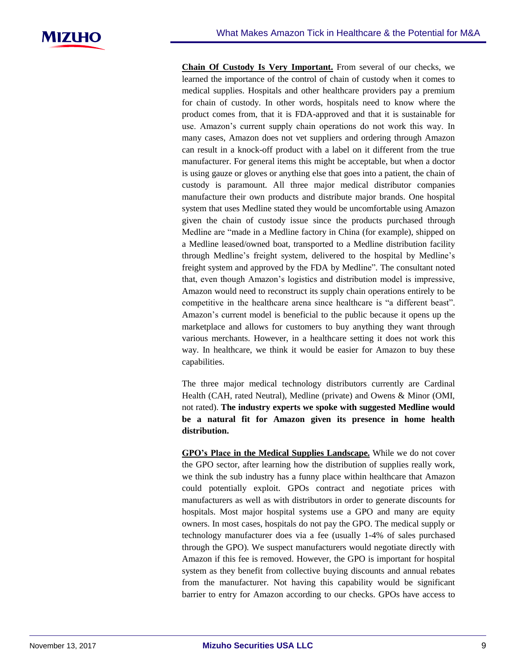

**Chain Of Custody Is Very Important.** From several of our checks, we learned the importance of the control of chain of custody when it comes to medical supplies. Hospitals and other healthcare providers pay a premium for chain of custody. In other words, hospitals need to know where the product comes from, that it is FDA-approved and that it is sustainable for use. Amazon's current supply chain operations do not work this way. In many cases, Amazon does not vet suppliers and ordering through Amazon can result in a knock-off product with a label on it different from the true manufacturer. For general items this might be acceptable, but when a doctor is using gauze or gloves or anything else that goes into a patient, the chain of custody is paramount. All three major medical distributor companies manufacture their own products and distribute major brands. One hospital system that uses Medline stated they would be uncomfortable using Amazon given the chain of custody issue since the products purchased through Medline are "made in a Medline factory in China (for example), shipped on a Medline leased/owned boat, transported to a Medline distribution facility through Medline's freight system, delivered to the hospital by Medline's freight system and approved by the FDA by Medline". The consultant noted that, even though Amazon's logistics and distribution model is impressive, Amazon would need to reconstruct its supply chain operations entirely to be competitive in the healthcare arena since healthcare is "a different beast". Amazon's current model is beneficial to the public because it opens up the marketplace and allows for customers to buy anything they want through various merchants. However, in a healthcare setting it does not work this way. In healthcare, we think it would be easier for Amazon to buy these capabilities.

The three major medical technology distributors currently are Cardinal Health (CAH, rated Neutral), Medline (private) and Owens & Minor (OMI, not rated). **The industry experts we spoke with suggested Medline would be a natural fit for Amazon given its presence in home health distribution.**

**GPO's Place in the Medical Supplies Landscape.** While we do not cover the GPO sector, after learning how the distribution of supplies really work, we think the sub industry has a funny place within healthcare that Amazon could potentially exploit. GPOs contract and negotiate prices with manufacturers as well as with distributors in order to generate discounts for hospitals. Most major hospital systems use a GPO and many are equity owners. In most cases, hospitals do not pay the GPO. The medical supply or technology manufacturer does via a fee (usually 1-4% of sales purchased through the GPO). We suspect manufacturers would negotiate directly with Amazon if this fee is removed. However, the GPO is important for hospital system as they benefit from collective buying discounts and annual rebates from the manufacturer. Not having this capability would be significant barrier to entry for Amazon according to our checks. GPOs have access to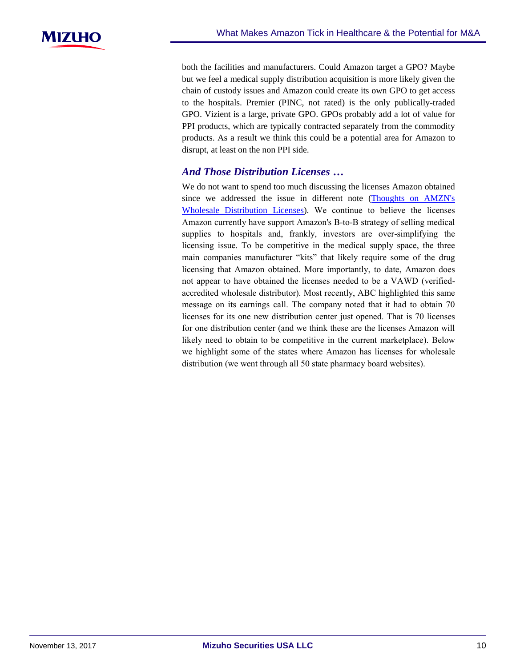

both the facilities and manufacturers. Could Amazon target a GPO? Maybe but we feel a medical supply distribution acquisition is more likely given the chain of custody issues and Amazon could create its own GPO to get access to the hospitals. Premier (PINC, not rated) is the only publically-traded GPO. Vizient is a large, private GPO. GPOs probably add a lot of value for PPI products, which are typically contracted separately from the commodity products. As a result we think this could be a potential area for Amazon to disrupt, at least on the non PPI side.

## *And Those Distribution Licenses …*

We do not want to spend too much discussing the licenses Amazon obtained since we addressed the issue in different note [\(Thoughts on AMZN's](https://msusa.bluematrix.com/docs/pdf/0e603de3-957e-409e-abfe-f72aad88bc0c.pdf)  [Wholesale Distribution Licenses\)](https://msusa.bluematrix.com/docs/pdf/0e603de3-957e-409e-abfe-f72aad88bc0c.pdf). We continue to believe the licenses Amazon currently have support Amazon's B-to-B strategy of selling medical supplies to hospitals and, frankly, investors are over-simplifying the licensing issue. To be competitive in the medical supply space, the three main companies manufacturer "kits" that likely require some of the drug licensing that Amazon obtained. More importantly, to date, Amazon does not appear to have obtained the licenses needed to be a VAWD (verifiedaccredited wholesale distributor). Most recently, ABC highlighted this same message on its earnings call. The company noted that it had to obtain 70 licenses for its one new distribution center just opened. That is 70 licenses for one distribution center (and we think these are the licenses Amazon will likely need to obtain to be competitive in the current marketplace). Below we highlight some of the states where Amazon has licenses for wholesale distribution (we went through all 50 state pharmacy board websites).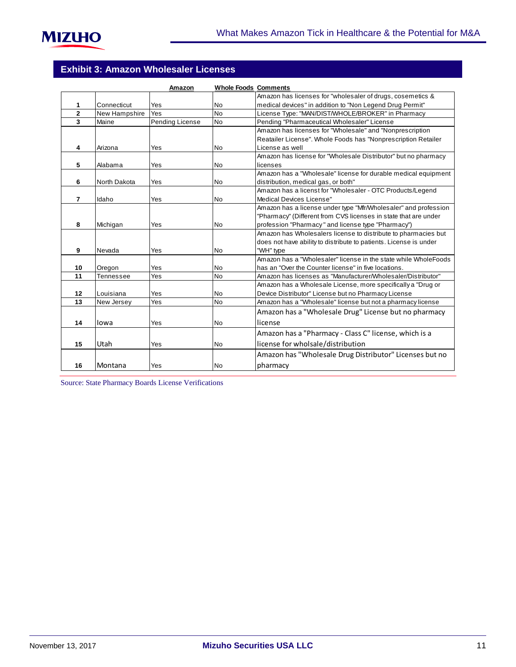|                |               | Amazon          | <b>Whole Foods Comments</b> |                                                                   |
|----------------|---------------|-----------------|-----------------------------|-------------------------------------------------------------------|
|                |               |                 |                             | Amazon has licenses for "wholesaler of drugs, cosemetics &        |
| 1              | Connecticut   | Yes             | No                          | medical devices" in addition to "Non Legend Drug Permit"          |
| $\overline{2}$ | New Hampshire | Yes             | <b>No</b>                   | License Type: "MAN/DIST/WHOLE/BROKER" in Pharmacy                 |
| 3              | Maine         | Pending License | <b>No</b>                   | Pending "Pharmaceutical Wholesaler" License                       |
|                |               |                 |                             | Amazon has licenses for "Wholesale" and "Nonprescription          |
|                |               |                 |                             | Reatailer License". Whole Foods has "Nonprescription Retailer     |
| 4              | Arizona       | Yes             | No                          | License as well                                                   |
|                |               |                 |                             | Amazon has license for "Wholesale Distributor" but no pharmacy    |
| 5              | Alabama       | Yes             | No                          | licenses                                                          |
|                |               |                 |                             | Amazon has a "Wholesale" license for durable medical equipment    |
| 6              | North Dakota  | Yes             | <b>No</b>                   | distribution, medical gas, or both"                               |
|                |               |                 |                             | Amazon has a licenst for "Wholesaler - OTC Products/Legend        |
| $\overline{7}$ | Idaho         | Yes             | No                          | Medical Devices License"                                          |
|                |               |                 |                             | Amazon has a license under type "Mfr/Wholesaler" and profession   |
|                |               |                 |                             | "Pharmacy" (Different from CVS licenses in state that are under   |
| 8              | Michigan      | Yes             | No                          | profession "Pharmacy" and license type "Pharmacy")                |
|                |               |                 |                             | Amazon has Wholesalers license to distribute to pharmacies but    |
|                |               |                 |                             | does not have ability to distribute to patients. License is under |
| 9              | Nevada        | Yes             | No                          | "WH" type                                                         |
|                |               |                 |                             | Amazon has a "Wholesaler" license in the state while WholeFoods   |
| 10             | Oregon        | Yes             | <b>No</b>                   | has an "Over the Counter license" in five locations.              |
| 11             | Tennessee     | Yes             | <b>No</b>                   | Amazon has licenses as "Manufacturer/Wholesaler/Distributor"      |
|                |               |                 |                             | Amazon has a Wholesale License, more specifically a "Drug or      |
| 12             | Louisiana     | Yes             | <b>No</b>                   | Device Distributor" License but no Pharmacy License               |
| 13             | New Jersey    | Yes             | <b>No</b>                   | Amazon has a "Wholesale" license but not a pharmacy license       |
|                |               |                 |                             | Amazon has a "Wholesale Drug" License but no pharmacy             |
| 14             | lowa          | Yes             | No                          | license                                                           |
|                |               |                 |                             | Amazon has a "Pharmacy - Class C" license, which is a             |
| 15             | Utah          | Yes             | <b>No</b>                   | license for wholsale/distribution                                 |
|                |               |                 |                             | Amazon has "Wholesale Drug Distributor" Licenses but no           |
| 16             | Montana       | Yes             | No                          | pharmacy                                                          |

Source: State Pharmacy Boards License Verifications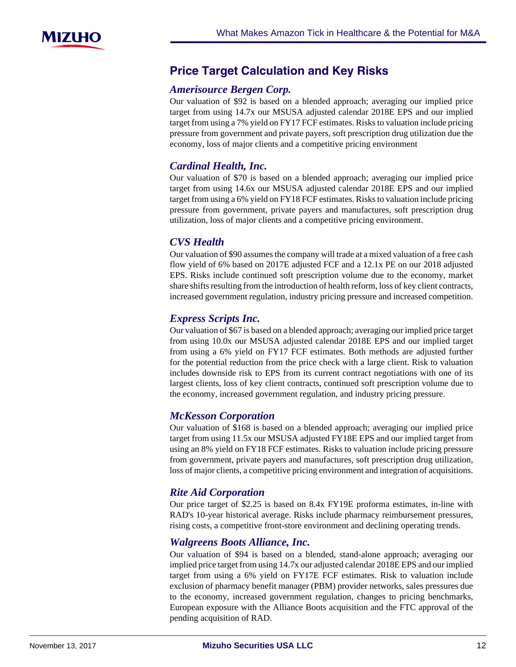## **Price-Target-Calculation-and-Key-Risks**

### *Amerisource Bergen Corp.*

Our valuation of \$92 is based on a blended approach; averaging our implied price target from using 14.7x our MSUSA adjusted calendar 2018E EPS and our implied target from using a 7% yield on FY17 FCF estimates. Risks to valuation include pricing pressure from government and private payers, soft prescription drug utilization due the economy, loss of major clients and a competitive pricing environment

## *Cardinal Health, Inc.*

Our valuation of \$70 is based on a blended approach; averaging our implied price target from using 14.6x our MSUSA adjusted calendar 2018E EPS and our implied target from using a 6% yield on FY18 FCF estimates. Risks to valuation include pricing pressure from government, private payers and manufactures, soft prescription drug utilization, loss of major clients and a competitive pricing environment.

## *CVS Health*

Our valuation of \$90 assumes the company will trade at a mixed valuation of a free cash flow yield of 6% based on 2017E adjusted FCF and a 12.1x PE on our 2018 adjusted EPS. Risks include continued soft prescription volume due to the economy, market share shifts resulting from the introduction of health reform, loss of key client contracts, increased government regulation, industry pricing pressure and increased competition.

## *Express Scripts Inc.*

Our valuation of \$67 is based on a blended approach; averaging our implied price target from using 10.0x our MSUSA adjusted calendar 2018E EPS and our implied target from using a 6% yield on FY17 FCF estimates. Both methods are adjusted further for the potential reduction from the price check with a large client. Risk to valuation includes downside risk to EPS from its current contract negotiations with one of its largest clients, loss of key client contracts, continued soft prescription volume due to the economy, increased government regulation, and industry pricing pressure.

## *McKesson Corporation*

Our valuation of \$168 is based on a blended approach; averaging our implied price target from using 11.5x our MSUSA adjusted FY18E EPS and our implied target from using an 8% yield on FY18 FCF estimates. Risks to valuation include pricing pressure from government, private payers and manufactures, soft prescription drug utilization, loss of major clients, a competitive pricing environment and integration of acquisitions.

## *Rite Aid Corporation*

Our price target of \$2.25 is based on 8.4x FY19E proforma estimates, in-line with RAD's 10-year historical average. Risks include pharmacy reimbursement pressures, rising costs, a competitive front-store environment and declining operating trends.

## *Walgreens Boots Alliance, Inc.*

Our valuation of \$94 is based on a blended, stand-alone approach; averaging our implied price target from using 14.7x our adjusted calendar 2018E EPS and our implied target from using a 6% yield on FY17E FCF estimates. Risk to valuation include exclusion of pharmacy benefit manager (PBM) provider networks, sales pressures due to the economy, increased government regulation, changes to pricing benchmarks, European exposure with the Alliance Boots acquisition and the FTC approval of the pending acquisition of RAD.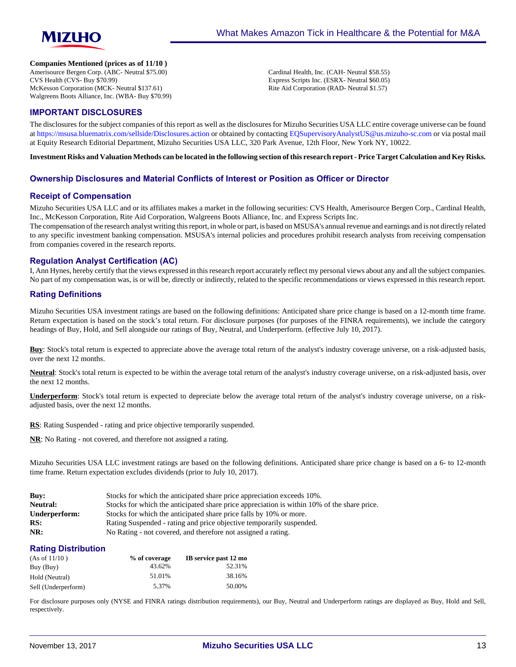

#### **Companies Mentioned (prices as of 11/10 )**

Amerisource Bergen Corp. (ABC- Neutral \$75.00) CVS Health (CVS- Buy \$70.99) McKesson Corporation (MCK- Neutral \$137.61) Walgreens Boots Alliance, Inc. (WBA- Buy \$70.99) Cardinal Health, Inc. (CAH- Neutral \$58.55) Express Scripts Inc. (ESRX- Neutral \$60.05) Rite Aid Corporation (RAD- Neutral \$1.57)

#### **IMPORTANT DISCLOSURES**

The disclosures for the subject companies of this report as well as the disclosures for Mizuho Securities USA LLC entire coverage universe can be found at<https://msusa.bluematrix.com/sellside/Disclosures.action>or obtained by contacting [EQSupervisoryAnalystUS@us.mizuho-sc.com](mailto:EQSupervisoryAnalystUS@us.mizuho-sc.com) or via postal mail at Equity Research Editorial Department, Mizuho Securities USA LLC, 320 Park Avenue, 12th Floor, New York NY, 10022.

**Investment Risks and Valuation Methods can be located in the following section of this research report - Price Target Calculation and Key Risks.**

#### **Ownership Disclosures and Material Conflicts of Interest or Position as Officer or Director**

#### **Receipt of Compensation**

Mizuho Securities USA LLC and or its affiliates makes a market in the following securities: CVS Health, Amerisource Bergen Corp., Cardinal Health, Inc., McKesson Corporation, Rite Aid Corporation, Walgreens Boots Alliance, Inc. and Express Scripts Inc.

The compensation of the research analyst writing this report, in whole or part, is based on MSUSA's annual revenue and earnings and is not directly related to any specific investment banking compensation. MSUSA's internal policies and procedures prohibit research analysts from receiving compensation from companies covered in the research reports.

#### **Regulation Analyst Certification (AC)**

I, Ann Hynes, hereby certify that the views expressed in this research report accurately reflect my personal views about any and all the subject companies. No part of my compensation was, is or will be, directly or indirectly, related to the specific recommendations or views expressed in this research report.

#### **Rating Definitions**

Mizuho Securities USA investment ratings are based on the following definitions: Anticipated share price change is based on a 12-month time frame. Return expectation is based on the stock's total return. For disclosure purposes (for purposes of the FINRA requirements), we include the category headings of Buy, Hold, and Sell alongside our ratings of Buy, Neutral, and Underperform. (effective July 10, 2017).

**Buy**: Stock's total return is expected to appreciate above the average total return of the analyst's industry coverage universe, on a risk-adjusted basis, over the next 12 months.

**Neutral**: Stock's total return is expected to be within the average total return of the analyst's industry coverage universe, on a risk-adjusted basis, over the next 12 months.

**Underperform**: Stock's total return is expected to depreciate below the average total return of the analyst's industry coverage universe, on a riskadjusted basis, over the next 12 months.

RS: Rating Suspended - rating and price objective temporarily suspended.

**NR**: No Rating - not covered, and therefore not assigned a rating.

Mizuho Securities USA LLC investment ratings are based on the following definitions. Anticipated share price change is based on a 6- to 12-month time frame. Return expectation excludes dividends (prior to July 10, 2017).

| Buv:          | Stocks for which the anticipated share price appreciation exceeds 10%.                      |
|---------------|---------------------------------------------------------------------------------------------|
| Neutral:      | Stocks for which the anticipated share price appreciation is within 10% of the share price. |
| Underperform: | Stocks for which the anticipated share price falls by 10% or more.                          |
| RS:           | Rating Suspended - rating and price objective temporarily suspended.                        |
| NR:           | No Rating - not covered, and therefore not assigned a rating.                               |

#### **Rating Distribution**

| (As of 11/10)       | % of coverage | IB service past 12 mo |
|---------------------|---------------|-----------------------|
| Buy (Buy)           | 43.62%        | 52.31%                |
| Hold (Neutral)      | 51.01%        | 38.16%                |
| Sell (Underperform) | 5.37%         | 50.00%                |

For disclosure purposes only (NYSE and FINRA ratings distribution requirements), our Buy, Neutral and Underperform ratings are displayed as Buy, Hold and Sell, respectively.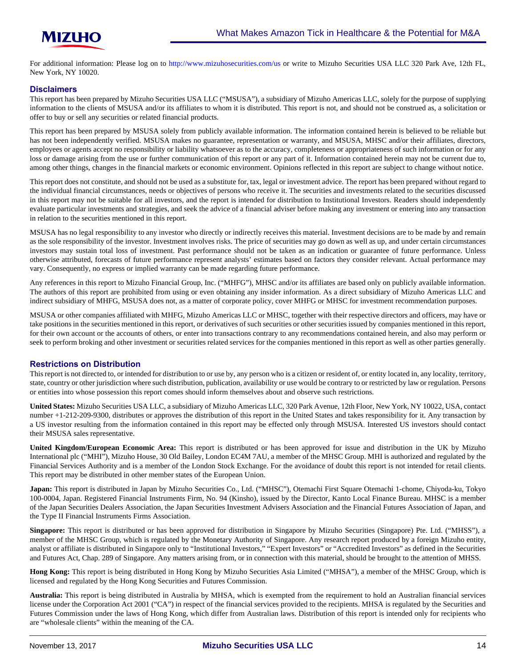

For additional information: Please log on to <http://www.mizuhosecurities.com/us>or write to Mizuho Securities USA LLC 320 Park Ave, 12th FL, New York, NY 10020.

#### **Disclaimers**

This report has been prepared by Mizuho Securities USA LLC ("MSUSA"), a subsidiary of Mizuho Americas LLC, solely for the purpose of supplying information to the clients of MSUSA and/or its affiliates to whom it is distributed. This report is not, and should not be construed as, a solicitation or offer to buy or sell any securities or related financial products.

This report has been prepared by MSUSA solely from publicly available information. The information contained herein is believed to be reliable but has not been independently verified. MSUSA makes no guarantee, representation or warranty, and MSUSA, MHSC and/or their affiliates, directors, employees or agents accept no responsibility or liability whatsoever as to the accuracy, completeness or appropriateness of such information or for any loss or damage arising from the use or further communication of this report or any part of it. Information contained herein may not be current due to, among other things, changes in the financial markets or economic environment. Opinions reflected in this report are subject to change without notice.

This report does not constitute, and should not be used as a substitute for, tax, legal or investment advice. The report has been prepared without regard to the individual financial circumstances, needs or objectives of persons who receive it. The securities and investments related to the securities discussed in this report may not be suitable for all investors, and the report is intended for distribution to Institutional Investors. Readers should independently evaluate particular investments and strategies, and seek the advice of a financial adviser before making any investment or entering into any transaction in relation to the securities mentioned in this report.

MSUSA has no legal responsibility to any investor who directly or indirectly receives this material. Investment decisions are to be made by and remain as the sole responsibility of the investor. Investment involves risks. The price of securities may go down as well as up, and under certain circumstances investors may sustain total loss of investment. Past performance should not be taken as an indication or guarantee of future performance. Unless otherwise attributed, forecasts of future performance represent analysts' estimates based on factors they consider relevant. Actual performance may vary. Consequently, no express or implied warranty can be made regarding future performance.

Any references in this report to Mizuho Financial Group, Inc. ("MHFG"), MHSC and/or its affiliates are based only on publicly available information. The authors of this report are prohibited from using or even obtaining any insider information. As a direct subsidiary of Mizuho Americas LLC and indirect subsidiary of MHFG, MSUSA does not, as a matter of corporate policy, cover MHFG or MHSC for investment recommendation purposes.

MSUSA or other companies affiliated with MHFG, Mizuho Americas LLC or MHSC, together with their respective directors and officers, may have or take positions in the securities mentioned in this report, or derivatives of such securities or other securities issued by companies mentioned in this report, for their own account or the accounts of others, or enter into transactions contrary to any recommendations contained herein, and also may perform or seek to perform broking and other investment or securities related services for the companies mentioned in this report as well as other parties generally.

#### **Restrictions on Distribution**

This report is not directed to, or intended for distribution to or use by, any person who is a citizen or resident of, or entity located in, any locality, territory, state, country or other jurisdiction where such distribution, publication, availability or use would be contrary to or restricted by law or regulation. Persons or entities into whose possession this report comes should inform themselves about and observe such restrictions.

**United States:** Mizuho Securities USA LLC, a subsidiary of Mizuho Americas LLC, 320 Park Avenue, 12th Floor, New York, NY 10022, USA, contact number +1-212-209-9300, distributes or approves the distribution of this report in the United States and takes responsibility for it. Any transaction by a US investor resulting from the information contained in this report may be effected only through MSUSA. Interested US investors should contact their MSUSA sales representative.

**United Kingdom/European Economic Area:** This report is distributed or has been approved for issue and distribution in the UK by Mizuho International plc ("MHI"), Mizuho House, 30 Old Bailey, London EC4M 7AU, a member of the MHSC Group. MHI is authorized and regulated by the Financial Services Authority and is a member of the London Stock Exchange. For the avoidance of doubt this report is not intended for retail clients. This report may be distributed in other member states of the European Union.

**Japan:** This report is distributed in Japan by Mizuho Securities Co., Ltd. ("MHSC"), Otemachi First Square Otemachi 1-chome, Chiyoda-ku, Tokyo 100-0004, Japan. Registered Financial Instruments Firm, No. 94 (Kinsho), issued by the Director, Kanto Local Finance Bureau. MHSC is a member of the Japan Securities Dealers Association, the Japan Securities Investment Advisers Association and the Financial Futures Association of Japan, and the Type II Financial Instruments Firms Association.

**Singapore:** This report is distributed or has been approved for distribution in Singapore by Mizuho Securities (Singapore) Pte. Ltd. ("MHSS"), a member of the MHSC Group, which is regulated by the Monetary Authority of Singapore. Any research report produced by a foreign Mizuho entity, analyst or affiliate is distributed in Singapore only to "Institutional Investors," "Expert Investors" or "Accredited Investors" as defined in the Securities and Futures Act, Chap. 289 of Singapore. Any matters arising from, or in connection with this material, should be brought to the attention of MHSS.

**Hong Kong:** This report is being distributed in Hong Kong by Mizuho Securities Asia Limited ("MHSA"), a member of the MHSC Group, which is licensed and regulated by the Hong Kong Securities and Futures Commission.

**Australia:** This report is being distributed in Australia by MHSA, which is exempted from the requirement to hold an Australian financial services license under the Corporation Act 2001 ("CA") in respect of the financial services provided to the recipients. MHSA is regulated by the Securities and Futures Commission under the laws of Hong Kong, which differ from Australian laws. Distribution of this report is intended only for recipients who are "wholesale clients" within the meaning of the CA.